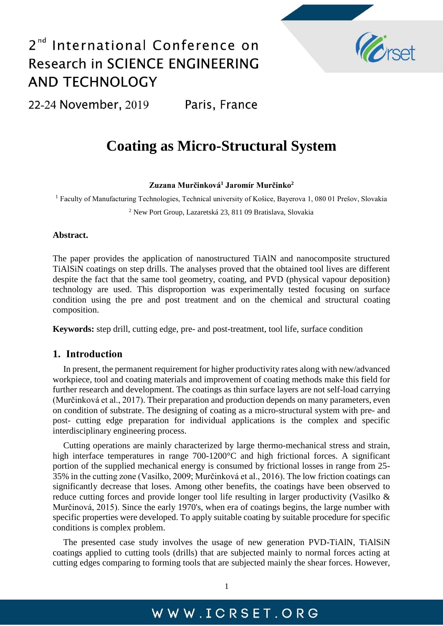

22-24 November, 2019 Paris, France

## **Coating as Micro-Structural System**

**Zuzana Murčinková<sup>1</sup> Jaromír Murčinko<sup>2</sup>**

<sup>1</sup> Faculty of Manufacturing Technologies, Technical university of Košice, Bayerova 1, 080 01 Prešov, Slovakia <sup>2</sup> New Port Group, Lazaretská 23, 811 09 Bratislava, Slovakia

#### **Abstract.**

The paper provides the application of nanostructured TiAlN and nanocomposite structured TiAlSiN coatings on step drills. The analyses proved that the obtained tool lives are different despite the fact that the same tool geometry, coating, and PVD (physical vapour deposition) technology are used. This disproportion was experimentally tested focusing on surface condition using the pre and post treatment and on the chemical and structural coating composition.

**Keywords:** step drill, cutting edge, pre- and post-treatment, tool life, surface condition

#### **1. Introduction**

In present, the permanent requirement for higher productivity rates along with new/advanced workpiece, tool and coating materials and improvement of coating methods make this field for further research and development. The coatings as thin surface layers are not self-load carrying (Murčinková et al., 2017). Their preparation and production depends on many parameters, even on condition of substrate. The designing of coating as a micro-structural system with pre- and post- cutting edge preparation for individual applications is the complex and specific interdisciplinary engineering process.

Cutting operations are mainly characterized by large thermo-mechanical stress and strain, high interface temperatures in range 700-1200°C and high frictional forces. A significant portion of the supplied mechanical energy is consumed by frictional losses in range from 25- 35% in the cutting zone (Vasilko, 2009; Murčinková et al., 2016). The low friction coatings can significantly decrease that loses. Among other benefits, the coatings have been observed to reduce cutting forces and provide longer tool life resulting in larger productivity (Vasilko & Murčinová, 2015). Since the early 1970's, when era of coatings begins, the large number with specific properties were developed. To apply suitable coating by suitable procedure for specific conditions is complex problem.

The presented case study involves the usage of new generation PVD-TiAlN, TiAlSiN coatings applied to cutting tools (drills) that are subjected mainly to normal forces acting at cutting edges comparing to forming tools that are subjected mainly the shear forces. However,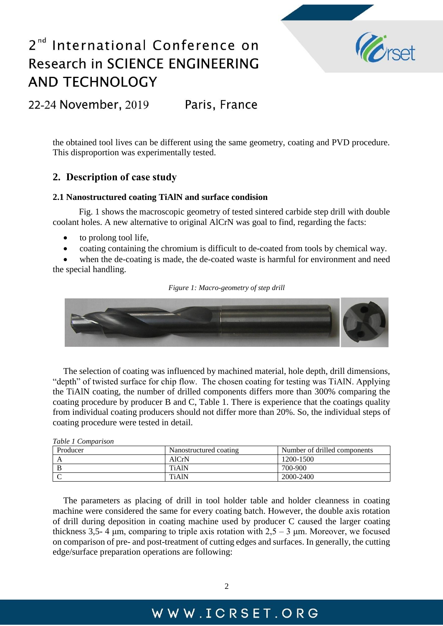

22-24 November, 2019 Paris, France

the obtained tool lives can be different using the same geometry, coating and PVD procedure. This disproportion was experimentally tested.

### **2. Description of case study**

#### **2.1 Nanostructured coating TiAlN and surface condision**

 Fig. 1 shows the macroscopic geometry of tested sintered carbide step drill with double coolant holes. A new alternative to original AlCrN was goal to find, regarding the facts:

- to prolong tool life,
- coating containing the chromium is difficult to de-coated from tools by chemical way.

 when the de-coating is made, the de-coated waste is harmful for environment and need the special handling.

*Figure 1: Macro-geometry of step drill*

The selection of coating was influenced by machined material, hole depth, drill dimensions, "depth" of twisted surface for chip flow. The chosen coating for testing was TiAlN. Applying the TiAlN coating, the number of drilled components differs more than 300% comparing the coating procedure by producer B and C, Table 1. There is experience that the coatings quality from individual coating producers should not differ more than 20%. So, the individual steps of coating procedure were tested in detail.

*Table 1 Comparison*

| Producer | Nanostructured coating | Number of drilled components |
|----------|------------------------|------------------------------|
|          | AlCrN                  | 1200-1500                    |
|          | <b>TiAIN</b>           | 700-900                      |
|          | <b>TiAlN</b>           | 2000-2400                    |

The parameters as placing of drill in tool holder table and holder cleanness in coating machine were considered the same for every coating batch. However, the double axis rotation of drill during deposition in coating machine used by producer C caused the larger coating thickness 3,5- 4 μm, comparing to triple axis rotation with  $2.5 - 3$  μm. Moreover, we focused on comparison of pre- and post-treatment of cutting edges and surfaces. In generally, the cutting edge/surface preparation operations are following: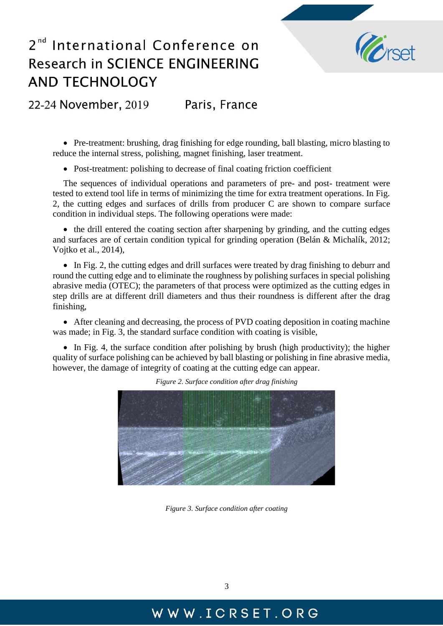

22-24 November, 2019 Paris, France

 Pre-treatment: brushing, drag finishing for edge rounding, ball blasting, micro blasting to reduce the internal stress, polishing, magnet finishing, laser treatment.

• Post-treatment: polishing to decrease of final coating friction coefficient

The sequences of individual operations and parameters of pre- and post- treatment were tested to extend tool life in terms of minimizing the time for extra treatment operations. In Fig. 2, the cutting edges and surfaces of drills from producer C are shown to compare surface condition in individual steps. The following operations were made:

• the drill entered the coating section after sharpening by grinding, and the cutting edges and surfaces are of certain condition typical for grinding operation (Belán & Michalík, 2012; Vojtko et al., 2014),

• In Fig. 2, the cutting edges and drill surfaces were treated by drag finishing to deburr and round the cutting edge and to eliminate the roughness by polishing surfaces in special polishing abrasive media (OTEC); the parameters of that process were optimized as the cutting edges in step drills are at different drill diameters and thus their roundness is different after the drag finishing,

 After cleaning and decreasing, the process of PVD coating deposition in coating machine was made; in Fig. 3, the standard surface condition with coating is visible,

• In Fig. 4, the surface condition after polishing by brush (high productivity); the higher quality of surface polishing can be achieved by ball blasting or polishing in fine abrasive media, however, the damage of integrity of coating at the cutting edge can appear.



*Figure 2. Surface condition after drag finishing*

*Figure 3. Surface condition after coating*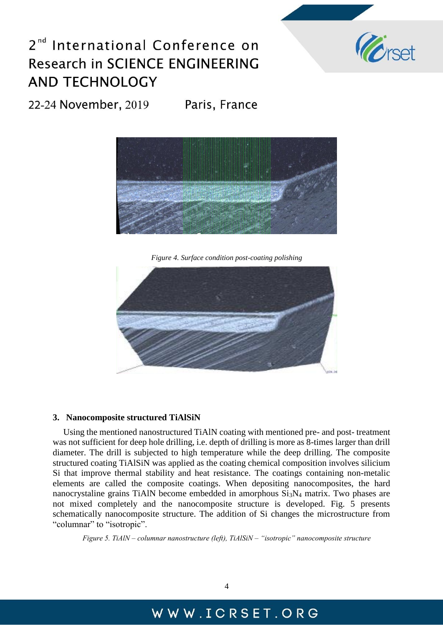

22-24 November, 2019 Paris, France



*Figure 4. Surface condition post-coating polishing*



#### **3. Nanocomposite structured TiAlSiN**

Using the mentioned nanostructured TiAlN coating with mentioned pre- and post- treatment was not sufficient for deep hole drilling, i.e. depth of drilling is more as 8-times larger than drill diameter. The drill is subjected to high temperature while the deep drilling. The composite structured coating TiAlSiN was applied as the coating chemical composition involves silicium Si that improve thermal stability and heat resistance. The coatings containing non-metalic elements are called the composite coatings. When depositing nanocomposites, the hard nanocrystaline grains TiAlN become embedded in amorphous  $Si<sub>3</sub>N<sub>4</sub>$  matrix. Two phases are not mixed completely and the nanocomposite structure is developed. Fig. 5 presents schematically nanocomposite structure. The addition of Si changes the microstructure from "columnar" to "isotropic".

*Figure 5. TiAlN – columnar nanostructure (left), TiAlSiN – "isotropic" nanocomposite structure*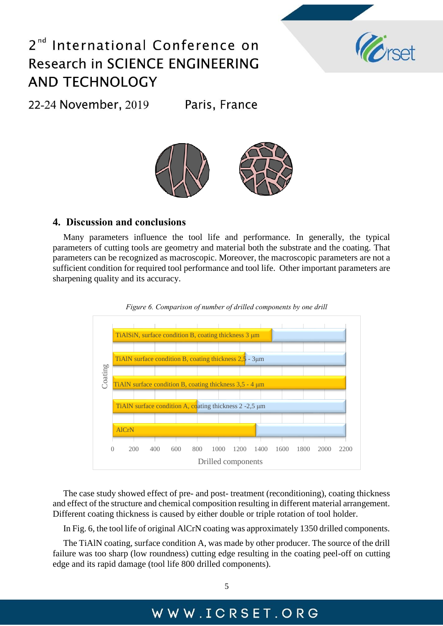### International Conference on  $2<sup>nd</sup>$ Research in SCIENCE ENGINEERING **AND TECHNOLOGY**



22-24 November, 2019 Paris, France



#### **4. Discussion and conclusions**

Many parameters influence the tool life and performance. In generally, the typical parameters of cutting tools are geometry and material both the substrate and the coating. That parameters can be recognized as macroscopic. Moreover, the macroscopic parameters are not a sufficient condition for required tool performance and tool life. Other important parameters are sharpening quality and its accuracy.





The case study showed effect of pre- and post- treatment (reconditioning), coating thickness and effect of the structure and chemical composition resulting in different material arrangement. Different coating thickness is caused by either double or triple rotation of tool holder.

In Fig. 6, the tool life of original AlCrN coating was approximately 1350 drilled components.

The TiAlN coating, surface condition A, was made by other producer. The source of the drill failure was too sharp (low roundness) cutting edge resulting in the coating peel-off on cutting edge and its rapid damage (tool life 800 drilled components).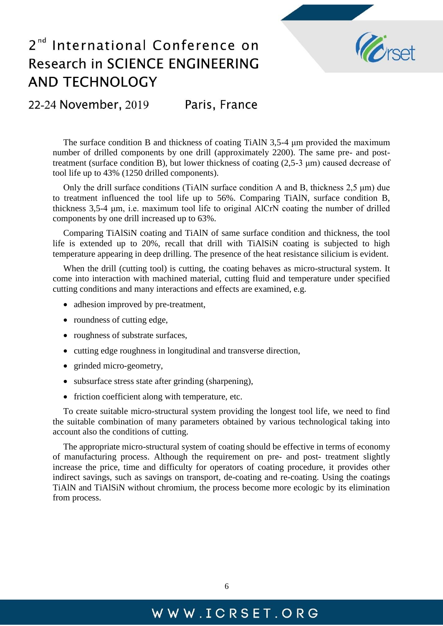

22-24 November, 2019 Paris, France

The surface condition B and thickness of coating TiAlN 3,5-4 μm provided the maximum number of drilled components by one drill (approximately 2200). The same pre- and posttreatment (surface condition B), but lower thickness of coating (2,5-3 μm) caused decrease of tool life up to 43% (1250 drilled components).

Only the drill surface conditions (TiAlN surface condition A and B, thickness 2,5 μm) due to treatment influenced the tool life up to 56%. Comparing TiAlN, surface condition B, thickness 3,5-4 μm, i.e. maximum tool life to original AlCrN coating the number of drilled components by one drill increased up to 63%.

Comparing TiAlSiN coating and TiAlN of same surface condition and thickness, the tool life is extended up to 20%, recall that drill with TiAlSiN coating is subjected to high temperature appearing in deep drilling. The presence of the heat resistance silicium is evident.

When the drill (cutting tool) is cutting, the coating behaves as micro-structural system. It come into interaction with machined material, cutting fluid and temperature under specified cutting conditions and many interactions and effects are examined, e.g.

- adhesion improved by pre-treatment,
- roundness of cutting edge,
- roughness of substrate surfaces,
- cutting edge roughness in longitudinal and transverse direction,
- grinded micro-geometry,
- subsurface stress state after grinding (sharpening),
- friction coefficient along with temperature, etc.

To create suitable micro-structural system providing the longest tool life, we need to find the suitable combination of many parameters obtained by various technological taking into account also the conditions of cutting.

The appropriate micro-structural system of coating should be effective in terms of economy of manufacturing process. Although the requirement on pre- and post- treatment slightly increase the price, time and difficulty for operators of coating procedure, it provides other indirect savings, such as savings on transport, de-coating and re-coating. Using the coatings TiAlN and TiAlSiN without chromium, the process become more ecologic by its elimination from process.